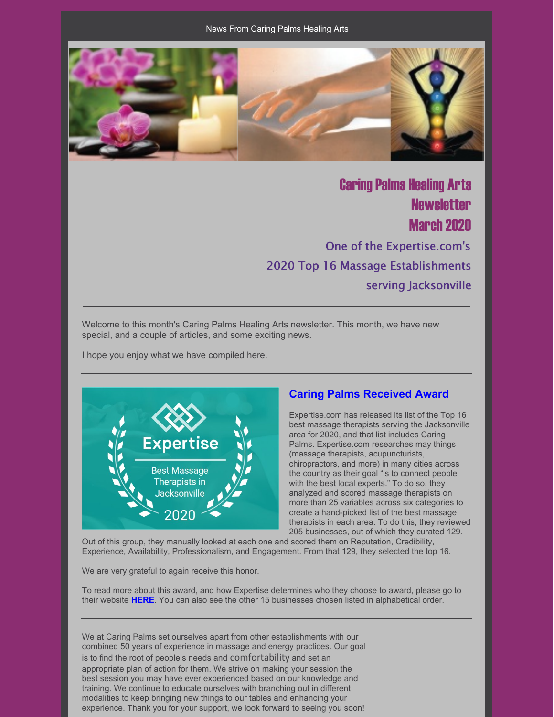

**Caring Palms Healing Arts Newsletter March 2020** One of the Expertise.com's 2020 Top 16 Massage Establishments serving Jacksonville

Welcome to this month's Caring Palms Healing Arts newsletter. This month, we have new special, and a couple of articles, and some exciting news.

I hope you enjoy what we have compiled here.



### **Caring Palms Received Award**

Expertise.com has released its list of the Top 16 best massage therapists serving the Jacksonville area for 2020, and that list includes Caring Palms. Expertise.com researches may things (massage therapists, acupuncturists, chiropractors, and more) in many cities across the country as their goal "is to connect people with the best local experts." To do so, they analyzed and scored massage therapists on more than 25 variables across six categories to create a hand-picked list of the best massage therapists in each area. To do this, they reviewed 205 businesses, out of which they curated 129.

Out of this group, they manually looked at each one and scored them on Reputation, Credibility, Experience, Availability, Professionalism, and Engagement. From that 129, they selected the top 16.

We are very grateful to again receive this honor.

To read more about this award, and how Expertise determines who they choose to award, please go to their website **[HERE](https://www.expertise.com/fl/jacksonville/massage-therapy)**. You can also see the other 15 businesses chosen listed in alphabetical order.

We at Caring Palms set ourselves apart from other establishments with our combined 50 years of experience in massage and energy practices. Our goal is to find the root of people's needs and comfortability and set an appropriate plan of action for them. We strive on making your session the best session you may have ever experienced based on our knowledge and training. We continue to educate ourselves with branching out in different modalities to keep bringing new things to our tables and enhancing your experience. Thank you for your support, we look forward to seeing you soon!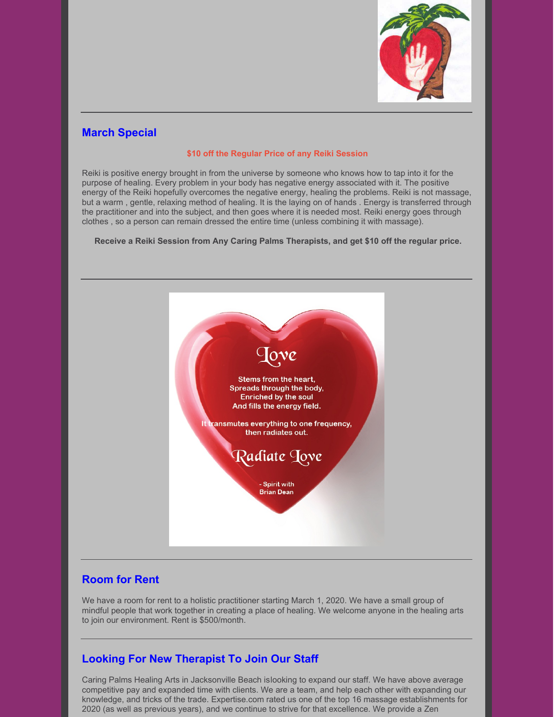

# **March Special**

#### **\$10 off the Regular Price of any Reiki Session**

Reiki is positive energy brought in from the universe by someone who knows how to tap into it for the purpose of healing. Every problem in your body has negative energy associated with it. The positive energy of the Reiki hopefully overcomes the negative energy, healing the problems. Reiki is not massage, but a warm , gentle, relaxing method of healing. It is the laying on of hands . Energy is transferred through the practitioner and into the subject, and then goes where it is needed most. Reiki energy goes through clothes , so a person can remain dressed the entire time (unless combining it with massage).

**Receive a Reiki Session from Any Caring Palms Therapists, and get \$10 off the regular price.**



# **Room for Rent**

We have a room for rent to a holistic practitioner starting March 1, 2020. We have a small group of mindful people that work together in creating a place of healing. We welcome anyone in the healing arts to join our environment. Rent is \$500/month.

# **Looking For New Therapist To Join Our Staff**

Caring Palms Healing Arts in Jacksonville Beach islooking to expand our staff. We have above average competitive pay and expanded time with clients. We are a team, and help each other with expanding our knowledge, and tricks of the trade. Expertise.com rated us one of the top 16 massage establishments for 2020 (as well as previous years), and we continue to strive for that excellence. We provide a Zen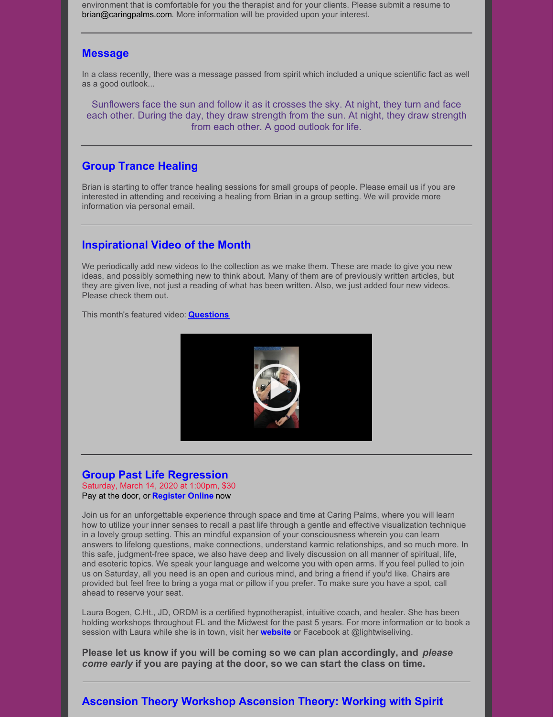environment that is comfortable for you the therapist and for your clients. Please submit a resume to [brian@caringpalms.com](mailto:brian@caringpalms.com). More information will be provided upon your interest.

#### **Message**

In a class recently, there was a message passed from spirit which included a unique scientific fact as well as a good outlook...

Sunflowers face the sun and follow it as it crosses the sky. At night, they turn and face each other. During the day, they draw strength from the sun. At night, they draw strength from each other. A good outlook for life.

#### **Group Trance Healing**

Brian is starting to offer trance healing sessions for small groups of people. Please email us if you are interested in attending and receiving a healing from Brian in a group setting. We will provide more information via personal email.

#### **Inspirational Video of the Month**

We periodically add new videos to the collection as we make them. These are made to give you new ideas, and possibly something new to think about. Many of them are of previously written articles, but they are given live, not just a reading of what has been written. Also, we just added four new videos. Please check them out.

This month's featured video: **[Questions](https://www.youtube.com/watch?v=696AZmQKWus)**



#### **Group Past Life Regression**

Saturday, March 14, 2020 at 1:00pm, \$30 Pay at the door, or **Register Online** now

Join us for an unforgettable experience through space and time at Caring Palms, where you will learn how to utilize your inner senses to recall a past life through a gentle and effective visualization technique in a lovely group setting. This an mindful expansion of your consciousness wherein you can learn answers to lifelong questions, make connections, understand karmic relationships, and so much more. In this safe, judgment-free space, we also have deep and lively discussion on all manner of spiritual, life, and esoteric topics. We speak your language and welcome you with open arms. If you feel pulled to join us on Saturday, all you need is an open and curious mind, and bring a friend if you'd like. Chairs are provided but feel free to bring a yoga mat or pillow if you prefer. To make sure you have a spot, call ahead to reserve your seat.

Laura Bogen, C.Ht., JD, ORDM is a certified hypnotherapist, intuitive coach, and healer. She has been holding workshops throughout FL and the Midwest for the past 5 years. For more information or to book a session with Laura while she is in town, visit her **[website](http://www.lightwiseliving.com)** or Facebook at @lightwiseliving.

**Please let us know if you will be coming so we can plan accordingly, and** *please come early* **if you are paying at the door, so we can start the class on time.**

### **Ascension Theory Workshop Ascension Theory: Working with Spirit**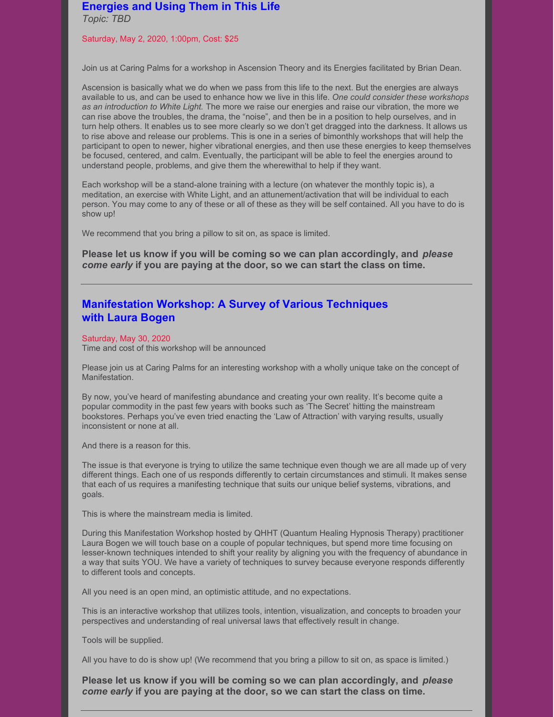#### **Energies and Using Them in This Life**

*Topic: TBD*

#### Saturday, May 2, 2020, 1:00pm, Cost: \$25

Join us at Caring Palms for a workshop in Ascension Theory and its Energies facilitated by Brian Dean.

Ascension is basically what we do when we pass from this life to the next. But the energies are always available to us, and can be used to enhance how we live in this life. *One could consider these workshops as an introduction to White Light.* The more we raise our energies and raise our vibration, the more we can rise above the troubles, the drama, the "noise", and then be in a position to help ourselves, and in turn help others. It enables us to see more clearly so we don't get dragged into the darkness. It allows us to rise above and release our problems. This is one in a series of bimonthly workshops that will help the participant to open to newer, higher vibrational energies, and then use these energies to keep themselves be focused, centered, and calm. Eventually, the participant will be able to feel the energies around to understand people, problems, and give them the wherewithal to help if they want.

Each workshop will be a stand-alone training with a lecture (on whatever the monthly topic is), a meditation, an exercise with White Light, and an attunement/activation that will be individual to each person. You may come to any of these or all of these as they will be self contained. All you have to do is show up!

We recommend that you bring a pillow to sit on, as space is limited.

**Please let us know if you will be coming so we can plan accordingly, and** *please come early* **if you are paying at the door, so we can start the class on time.**

### **Manifestation Workshop: A Survey of Various Techniques with Laura Bogen**

#### Saturday, May 30, 2020

Time and cost of this workshop will be announced

Please join us at Caring Palms for an interesting workshop with a wholly unique take on the concept of Manifestation.

By now, you've heard of manifesting abundance and creating your own reality. It's become quite a popular commodity in the past few years with books such as 'The Secret' hitting the mainstream bookstores. Perhaps you've even tried enacting the 'Law of Attraction' with varying results, usually inconsistent or none at all.

And there is a reason for this.

The issue is that everyone is trying to utilize the same technique even though we are all made up of very different things. Each one of us responds differently to certain circumstances and stimuli. It makes sense that each of us requires a manifesting technique that suits our unique belief systems, vibrations, and goals.

This is where the mainstream media is limited.

During this Manifestation Workshop hosted by QHHT (Quantum Healing Hypnosis Therapy) practitioner Laura Bogen we will touch base on a couple of popular techniques, but spend more time focusing on lesser-known techniques intended to shift your reality by aligning you with the frequency of abundance in a way that suits YOU. We have a variety of techniques to survey because everyone responds differently to different tools and concepts.

All you need is an open mind, an optimistic attitude, and no expectations.

This is an interactive workshop that utilizes tools, intention, visualization, and concepts to broaden your perspectives and understanding of real universal laws that effectively result in change.

Tools will be supplied.

All you have to do is show up! (We recommend that you bring a pillow to sit on, as space is limited.)

**Please let us know if you will be coming so we can plan accordingly, and** *please come early* **if you are paying at the door, so we can start the class on time.**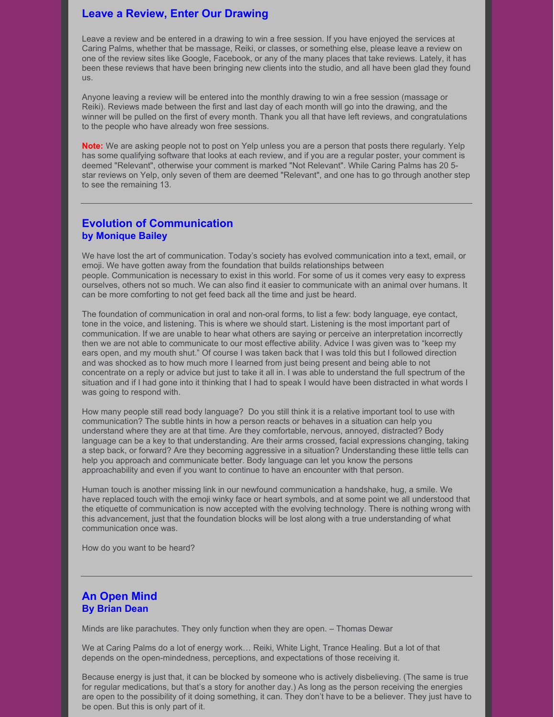### **Leave a Review, Enter Our Drawing**

Leave a review and be entered in a drawing to win a free session. If you have enjoyed the services at Caring Palms, whether that be massage, Reiki, or classes, or something else, please leave a review on one of the review sites like Google, Facebook, or any of the many places that take reviews. Lately, it has been these reviews that have been bringing new clients into the studio, and all have been glad they found us.

Anyone leaving a review will be entered into the monthly drawing to win a free session (massage or Reiki). Reviews made between the first and last day of each month will go into the drawing, and the winner will be pulled on the first of every month. Thank you all that have left reviews, and congratulations to the people who have already won free sessions.

**Note:** We are asking people not to post on Yelp unless you are a person that posts there regularly. Yelp has some qualifying software that looks at each review, and if you are a regular poster, your comment is deemed "Relevant", otherwise your comment is marked "Not Relevant". While Caring Palms has 20 5 star reviews on Yelp, only seven of them are deemed "Relevant", and one has to go through another step to see the remaining 13.

#### **Evolution of Communication by Monique Bailey**

We have lost the art of communication. Today's society has evolved communication into a text, email, or emoji. We have gotten away from the foundation that builds relationships between people. Communication is necessary to exist in this world. For some of us it comes very easy to express ourselves, others not so much. We can also find it easier to communicate with an animal over humans. It can be more comforting to not get feed back all the time and just be heard.

The foundation of communication in oral and non-oral forms, to list a few: body language, eye contact, tone in the voice, and listening. This is where we should start. Listening is the most important part of communication. If we are unable to hear what others are saying or perceive an interpretation incorrectly then we are not able to communicate to our most effective ability. Advice I was given was to "keep my ears open, and my mouth shut." Of course I was taken back that I was told this but I followed direction and was shocked as to how much more I learned from just being present and being able to not concentrate on a reply or advice but just to take it all in. I was able to understand the full spectrum of the situation and if I had gone into it thinking that I had to speak I would have been distracted in what words I was going to respond with.

How many people still read body language? Do you still think it is a relative important tool to use with communication? The subtle hints in how a person reacts or behaves in a situation can help you understand where they are at that time. Are they comfortable, nervous, annoyed, distracted? Body language can be a key to that understanding. Are their arms crossed, facial expressions changing, taking a step back, or forward? Are they becoming aggressive in a situation? Understanding these little tells can help you approach and communicate better. Body language can let you know the persons approachability and even if you want to continue to have an encounter with that person.

Human touch is another missing link in our newfound communication a handshake, hug, a smile. We have replaced touch with the emoji winky face or heart symbols, and at some point we all understood that the etiquette of communication is now accepted with the evolving technology. There is nothing wrong with this advancement, just that the foundation blocks will be lost along with a true understanding of what communication once was.

How do you want to be heard?

#### **An Open Mind By Brian Dean**

Minds are like parachutes. They only function when they are open. – Thomas Dewar

We at Caring Palms do a lot of energy work… Reiki, White Light, Trance Healing. But a lot of that depends on the open-mindedness, perceptions, and expectations of those receiving it.

Because energy is just that, it can be blocked by someone who is actively disbelieving. (The same is true for regular medications, but that's a story for another day.) As long as the person receiving the energies are open to the possibility of it doing something, it can. They don't have to be a believer. They just have to be open. But this is only part of it.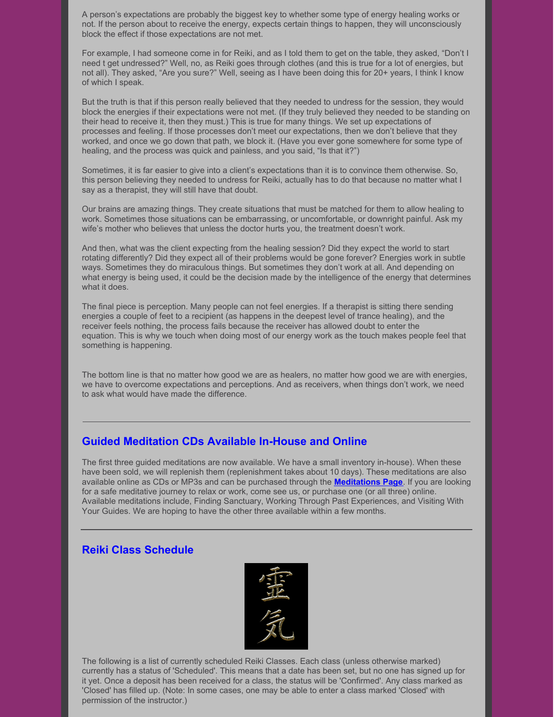A person's expectations are probably the biggest key to whether some type of energy healing works or not. If the person about to receive the energy, expects certain things to happen, they will unconsciously block the effect if those expectations are not met.

For example, I had someone come in for Reiki, and as I told them to get on the table, they asked, "Don't I need t get undressed?" Well, no, as Reiki goes through clothes (and this is true for a lot of energies, but not all). They asked, "Are you sure?" Well, seeing as I have been doing this for 20+ years, I think I know of which I speak.

But the truth is that if this person really believed that they needed to undress for the session, they would block the energies if their expectations were not met. (If they truly believed they needed to be standing on their head to receive it, then they must.) This is true for many things. We set up expectations of processes and feeling. If those processes don't meet our expectations, then we don't believe that they worked, and once we go down that path, we block it. (Have you ever gone somewhere for some type of healing, and the process was quick and painless, and you said, "Is that it?")

Sometimes, it is far easier to give into a client's expectations than it is to convince them otherwise. So, this person believing they needed to undress for Reiki, actually has to do that because no matter what I say as a therapist, they will still have that doubt.

Our brains are amazing things. They create situations that must be matched for them to allow healing to work. Sometimes those situations can be embarrassing, or uncomfortable, or downright painful. Ask my wife's mother who believes that unless the doctor hurts you, the treatment doesn't work.

And then, what was the client expecting from the healing session? Did they expect the world to start rotating differently? Did they expect all of their problems would be gone forever? Energies work in subtle ways. Sometimes they do miraculous things. But sometimes they don't work at all. And depending on what energy is being used, it could be the decision made by the intelligence of the energy that determines what it does.

The final piece is perception. Many people can not feel energies. If a therapist is sitting there sending energies a couple of feet to a recipient (as happens in the deepest level of trance healing), and the receiver feels nothing, the process fails because the receiver has allowed doubt to enter the equation. This is why we touch when doing most of our energy work as the touch makes people feel that something is happening.

The bottom line is that no matter how good we are as healers, no matter how good we are with energies, we have to overcome expectations and perceptions. And as receivers, when things don't work, we need to ask what would have made the difference.

### **Guided Meditation CDs Available In-House and Online**

The first three guided meditations are now available. We have a small inventory in-house). When these have been sold, we will replenish them (replenishment takes about 10 days). These meditations are also available online as CDs or MP3s and can be purchased through the **[Meditations](http://caringpalms.com/meditations.html) Page**. If you are looking for a safe meditative journey to relax or work, come see us, or purchase one (or all three) online. Available meditations include, Finding Sanctuary, Working Through Past Experiences, and Visiting With Your Guides. We are hoping to have the other three available within a few months.

### **Reiki Class Schedule**



The following is a list of currently scheduled Reiki Classes. Each class (unless otherwise marked) currently has a status of 'Scheduled'. This means that a date has been set, but no one has signed up for it yet. Once a deposit has been received for a class, the status will be 'Confirmed'. Any class marked as 'Closed' has filled up. (Note: In some cases, one may be able to enter a class marked 'Closed' with permission of the instructor.)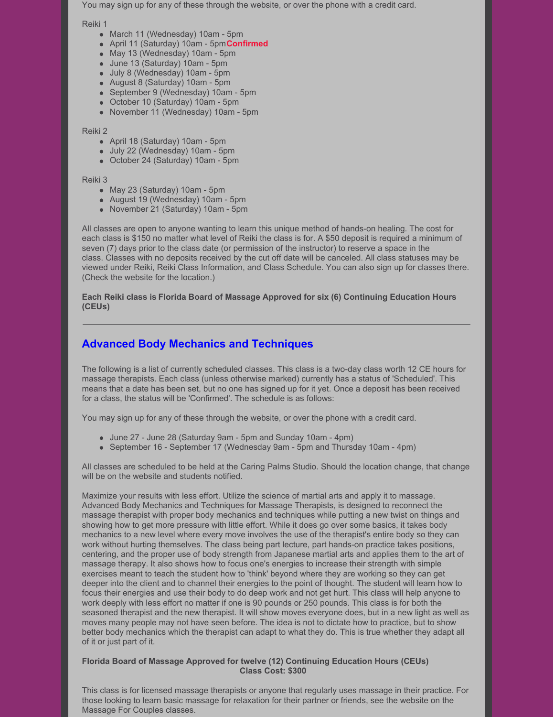You may sign up for any of these through the website, or over the phone with a credit card.

Reiki 1

- March 11 (Wednesday) 10am 5pm
- April 11 (Saturday) 10am 5pm**Confirmed**
- May 13 (Wednesday) 10am 5pm
- June 13 (Saturday) 10am 5pm
- July 8 (Wednesday) 10am 5pm
- August 8 (Saturday) 10am 5pm
- September 9 (Wednesday) 10am 5pm
- October 10 (Saturday) 10am 5pm
- November 11 (Wednesday) 10am 5pm

Reiki 2

- April 18 (Saturday) 10am 5pm
- July 22 (Wednesday) 10am 5pm
- October 24 (Saturday) 10am 5pm

#### Reiki 3

- May 23 (Saturday) 10am 5pm
- August 19 (Wednesday) 10am 5pm
- November 21 (Saturday) 10am 5pm

All classes are open to anyone wanting to learn this unique method of hands-on healing. The cost for each class is \$150 no matter what level of Reiki the class is for. A \$50 deposit is required a minimum of seven (7) days prior to the class date (or permission of the instructor) to reserve a space in the class. Classes with no deposits received by the cut off date will be canceled. All class statuses may be viewed under Reiki, Reiki Class Information, and Class Schedule. You can also sign up for classes there. (Check the website for the location.)

**Each Reiki class is Florida Board of Massage Approved for six (6) Continuing Education Hours (CEUs)**

# **Advanced Body Mechanics and Techniques**

The following is a list of currently scheduled classes. This class is a two-day class worth 12 CE hours for massage therapists. Each class (unless otherwise marked) currently has a status of 'Scheduled'. This means that a date has been set, but no one has signed up for it yet. Once a deposit has been received for a class, the status will be 'Confirmed'. The schedule is as follows:

You may sign up for any of these through the website, or over the phone with a credit card.

- June 27 June 28 (Saturday 9am 5pm and Sunday 10am 4pm)
- September 16 September 17 (Wednesday 9am 5pm and Thursday 10am 4pm)

All classes are scheduled to be held at the Caring Palms Studio. Should the location change, that change will be on the website and students notified.

Maximize your results with less effort. Utilize the science of martial arts and apply it to massage. Advanced Body Mechanics and Techniques for Massage Therapists, is designed to reconnect the massage therapist with proper body mechanics and techniques while putting a new twist on things and showing how to get more pressure with little effort. While it does go over some basics, it takes body mechanics to a new level where every move involves the use of the therapist's entire body so they can work without hurting themselves. The class being part lecture, part hands-on practice takes positions, centering, and the proper use of body strength from Japanese martial arts and applies them to the art of massage therapy. It also shows how to focus one's energies to increase their strength with simple exercises meant to teach the student how to 'think' beyond where they are working so they can get deeper into the client and to channel their energies to the point of thought. The student will learn how to focus their energies and use their body to do deep work and not get hurt. This class will help anyone to work deeply with less effort no matter if one is 90 pounds or 250 pounds. This class is for both the seasoned therapist and the new therapist. It will show moves everyone does, but in a new light as well as moves many people may not have seen before. The idea is not to dictate how to practice, but to show better body mechanics which the therapist can adapt to what they do. This is true whether they adapt all of it or just part of it.

#### **Florida Board of Massage Approved for twelve (12) Continuing Education Hours (CEUs) Class Cost: \$300**

This class is for licensed massage therapists or anyone that regularly uses massage in their practice. For those looking to learn basic massage for relaxation for their partner or friends, see the website on the Massage For Couples classes.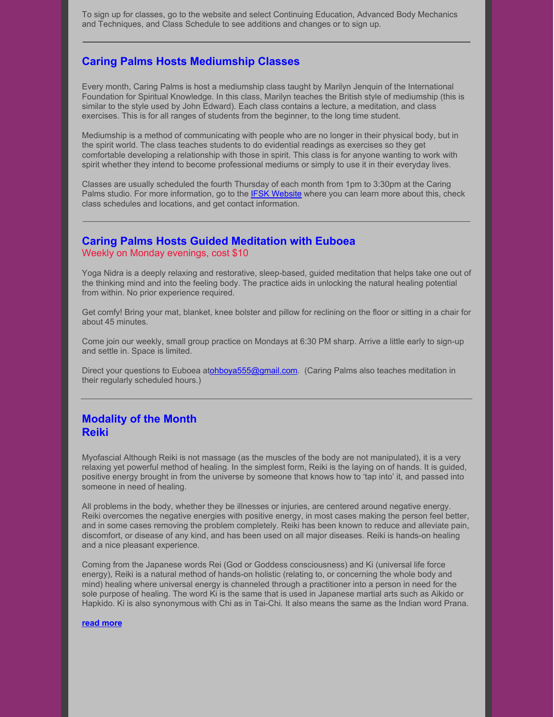To sign up for classes, go to the website and select Continuing Education, Advanced Body Mechanics and Techniques, and Class Schedule to see additions and changes or to sign up.

### **Caring Palms Hosts Mediumship Classes**

Every month, Caring Palms is host a mediumship class taught by Marilyn Jenquin of the International Foundation for Spiritual Knowledge. In this class, Marilyn teaches the British style of mediumship (this is similar to the style used by John Edward). Each class contains a lecture, a meditation, and class exercises. This is for all ranges of students from the beginner, to the long time student.

Mediumship is a method of communicating with people who are no longer in their physical body, but in the spirit world. The class teaches students to do evidential readings as exercises so they get comfortable developing a relationship with those in spirit. This class is for anyone wanting to work with spirit whether they intend to become professional mediums or simply to use it in their everyday lives.

Classes are usually scheduled the fourth Thursday of each month from 1pm to 3:30pm at the Caring Palms studio. For more information, go to the **IFSK [Website](http://www.ifsk.org/)** where you can learn more about this, check class schedules and locations, and get contact information.

#### **Caring Palms Hosts Guided Meditation with Euboea** Weekly on Monday evenings, cost \$10

Yoga Nidra is a deeply relaxing and restorative, sleep-based, guided meditation that helps take one out of the thinking mind and into the feeling body. The practice aids in unlocking the natural healing potential from within. No prior experience required.

Get comfy! Bring your mat, blanket, knee bolster and pillow for reclining on the floor or sitting in a chair for about 45 minutes.

Come join our weekly, small group practice on Mondays at 6:30 PM sharp. Arrive a little early to sign-up and settle in. Space is limited.

Direct your questions to Euboea a[tohboya555@gmail.com](mailto:ohboya555@gmail.com). (Caring Palms also teaches meditation in their regularly scheduled hours.)

### **Modality of the Month Reiki**

Myofascial Although Reiki is not massage (as the muscles of the body are not manipulated), it is a very relaxing yet powerful method of healing. In the simplest form, Reiki is the laying on of hands. It is guided, positive energy brought in from the universe by someone that knows how to 'tap into' it, and passed into someone in need of healing.

All problems in the body, whether they be illnesses or injuries, are centered around negative energy. Reiki overcomes the negative energies with positive energy, in most cases making the person feel better, and in some cases removing the problem completely. Reiki has been known to reduce and alleviate pain, discomfort, or disease of any kind, and has been used on all major diseases. Reiki is hands-on healing and a nice pleasant experience.

Coming from the Japanese words Rei (God or Goddess consciousness) and Ki (universal life force energy), Reiki is a natural method of hands-on holistic (relating to, or concerning the whole body and mind) healing where universal energy is channeled through a practitioner into a person in need for the sole purpose of healing. The word Ki is the same that is used in Japanese martial arts such as Aikido or Hapkido. Ki is also synonymous with Chi as in Tai-Chi. It also means the same as the Indian word Prana.

#### **read [more](http://www.caringpalms.com/article_reiki.html)**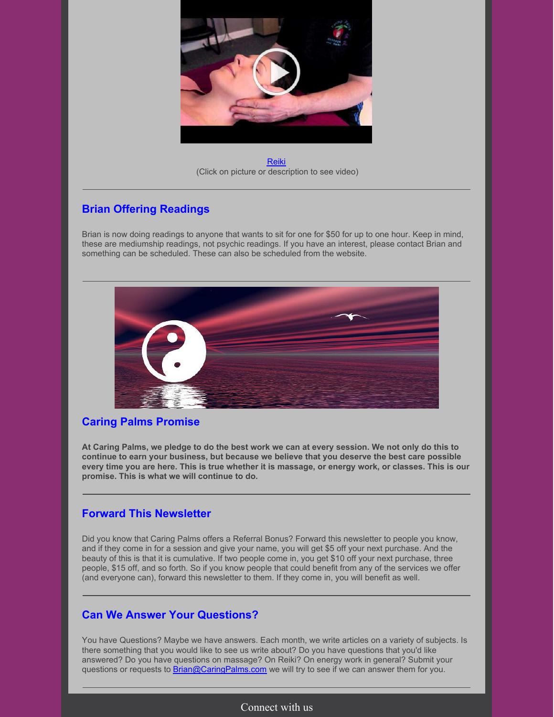

[Reiki](https://www.youtube.com/watch?v=oHmV3VfsR_Y) (Click on picture or description to see video)

# **Brian Offering Readings**

Brian is now doing readings to anyone that wants to sit for one for \$50 for up to one hour. Keep in mind, these are mediumship readings, not psychic readings. If you have an interest, please contact Brian and something can be scheduled. These can also be scheduled from the website.



## **Caring Palms Promise**

At Caring Palms, we pledge to do the best work we can at every session. We not only do this to **continue to earn your business, but because we believe that you deserve the best care possible** every time you are here. This is true whether it is massage, or energy work, or classes. This is our **promise. This is what we will continue to do.**

## **Forward This Newsletter**

Did you know that Caring Palms offers a Referral Bonus? Forward this newsletter to people you know, and if they come in for a session and give your name, you will get \$5 off your next purchase. And the beauty of this is that it is cumulative. If two people come in, you get \$10 off your next purchase, three people, \$15 off, and so forth. So if you know people that could benefit from any of the services we offer (and everyone can), forward this newsletter to them. If they come in, you will benefit as well.

# **Can We Answer Your Questions?**

You have Questions? Maybe we have answers. Each month, we write articles on a variety of subjects. Is there something that you would like to see us write about? Do you have questions that you'd like answered? Do you have questions on massage? On Reiki? On energy work in general? Submit your questions or requests to **[Brian@CaringPalms.com](mailto:brian@caringpalms.com)** we will try to see if we can answer them for you.

## Connect with us